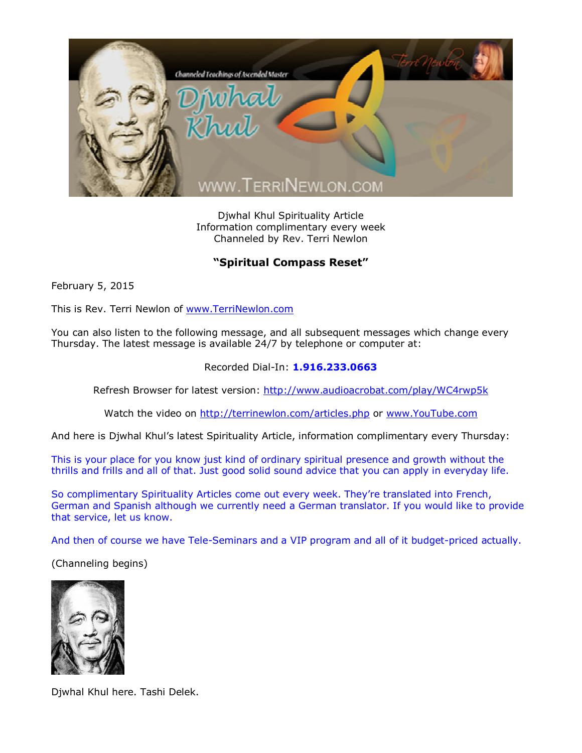

Djwhal Khul Spirituality Article Information complimentary every week Channeled by Rev. Terri Newlon

## **"Spiritual Compass Reset"**

February 5, 2015

This is Rev. Terri Newlon of [www.TerriNewlon.com](http://www.terrinewlon.com/)

You can also listen to the following message, and all subsequent messages which change every Thursday. The latest message is available 24/7 by telephone or computer at:

## Recorded Dial-In: **1.916.233.0663**

Refresh Browser for latest version: <http://www.audioacrobat.com/play/WC4rwp5k>

Watch the video on <http://terrinewlon.com/articles.php> or [www.YouTube.com](http://www.youtube.com/)

And here is Djwhal Khul's latest Spirituality Article, information complimentary every Thursday:

This is your place for you know just kind of ordinary spiritual presence and growth without the thrills and frills and all of that. Just good solid sound advice that you can apply in everyday life.

So complimentary Spirituality Articles come out every week. They're translated into French, German and Spanish although we currently need a German translator. If you would like to provide that service, let us know.

And then of course we have Tele-Seminars and a VIP program and all of it budget-priced actually.

(Channeling begins)



Djwhal Khul here. Tashi Delek.